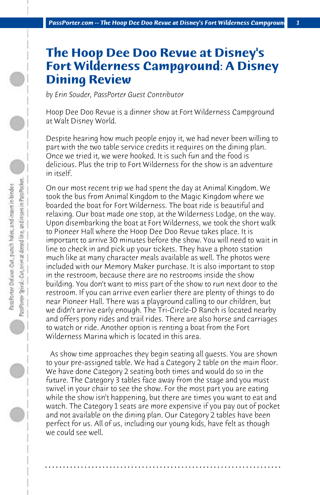## **The Hoop Dee Doo Revue at Disney's Fort Wilderness Campground: A Disney Dining Review**

*by Erin Souder, PassPorter Guest Contributor*

Hoop Dee Doo Revue is a dinner show at Fort Wilderness Campground at Walt Disney World.

Despite hearing how much people enjoy it, we had never been willing to part with the two table service credits it requires on the dining plan. Once we tried it, we were hooked. It is such fun and the food is delicious. Plus the trip to Fort Wilderness for the show is an adventure in itself.

On our most recent trip we had spent the day at Animal Kingdom. We took the bus from Animal Kingdom to the Magic Kingdom where we boarded the boat for Fort Wilderness. The boat ride is beautiful and relaxing. Our boat made one stop, at the Wilderness Lodge, on the way. Upon disembarking the boat at Fort Wilderness, we took the short walk to Pioneer Hall where the Hoop Dee Doo Revue takes place. It is important to arrive 30 minutes before the show. You will need to wait in line to check in and pick up your tickets. They have a photo station much like at many character meals available as well. The photos were included with our Memory Maker purchase. It is also important to stop in the restroom, because there are no restrooms inside the show building. You don't want to miss part of the show to run next door to the restroom. If you can arrive even earlier there are plenty of things to do near Pioneer Hall. There was a playground calling to our children, but we didn't arrive early enough. The Tri-Circle-D Ranch is located nearby and offers pony rides and trail rides. There are also horse and carriages to watch or ride. Another option is renting a boat from the Fort Wilderness Marina which is located in this area.

 As show time approaches they begin seating all guests. You are shown to your pre-assigned table. We had a Category 2 table on the main floor. We have done Category 2 seating both times and would do so in the future. The Category 3 tables face away from the stage and you must swivel in your chair to see the show. For the most part you are eating while the show isn't happening, but there are times you want to eat and watch. The Category 1 seats are more expensive if you pay out of pocket and not available on the dining plan. Our Category 2 tables have been perfect for us. All of us, including our young kids, have felt as though we could see well.

**. . . . . . . . . . . . . . . . . . . . . . . . . . . . . . . . . . . . . . . . . . . . . . . . . . . . . . . . . . . . . . . . . .**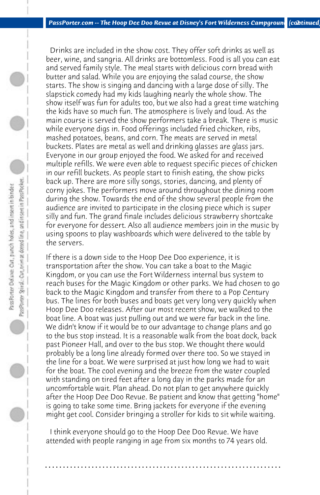Drinks are included in the show cost. They offer soft drinks as well as beer, wine, and sangria. All drinks are bottomless. Food is all you can eat and served family style. The meal starts with delicious corn bread with butter and salad. While you are enjoying the salad course, the show starts. The show is singing and dancing with a large dose of silly. The slapstick comedy had my kids laughing nearly the whole show. The show itself was fun for adults too, but we also had a great time watching the kids have so much fun. The atmosphere is lively and loud. As the main course is served the show performers take a break. There is music while everyone digs in. Food offerings included fried chicken, ribs, mashed potatoes, beans, and corn. The meats are served in metal buckets. Plates are metal as well and drinking glasses are glass jars. Everyone in our group enjoyed the food. We asked for and received multiple refills. We were even able to request specific pieces of chicken in our refill buckets. As people start to finish eating, the show picks back up. There are more silly songs, stories, dancing, and plenty of corny jokes. The performers move around throughout the dining room during the show. Towards the end of the show several people from the audience are invited to participate in the closing piece which is super silly and fun. The grand finale includes delicious strawberry shortcake for everyone for dessert. Also all audience members join in the music by using spoons to play washboards which were delivered to the table by the servers.

If there is a down side to the Hoop Dee Doo experience, it is transportation after the show. You can take a boat to the Magic Kingdom, or you can use the Fort Wilderness internal bus system to reach buses for the Magic Kingdom or other parks. We had chosen to go back to the Magic Kingdom and transfer from there to a Pop Century bus. The lines for both buses and boats get very long very quickly when Hoop Dee Doo releases. After our most recent show, we walked to the boat line. A boat was just pulling out and we were far back in the line. We didn't know if it would be to our advantage to change plans and go to the bus stop instead. It is a reasonable walk from the boat dock, back past Pioneer Hall, and over to the bus stop. We thought there would probably be a long line already formed over there too. So we stayed in the line for a boat. We were surprised at just how long we had to wait for the boat. The cool evening and the breeze from the water coupled with standing on tired feet after a long day in the parks made for an uncomfortable wait. Plan ahead. Do not plan to get anywhere quickly after the Hoop Dee Doo Revue. Be patient and know that getting "home" is going to take some time. Bring jackets for everyone if the evening might get cool. Consider bringing a stroller for kids to sit while waiting.

 I think everyone should go to the Hoop Dee Doo Revue. We have attended with people ranging in age from six months to 74 years old.

**. . . . . . . . . . . . . . . . . . . . . . . . . . . . . . . . . . . . . . . . . . . . . . . . . . . . . . . . . . . . . . . . . .**